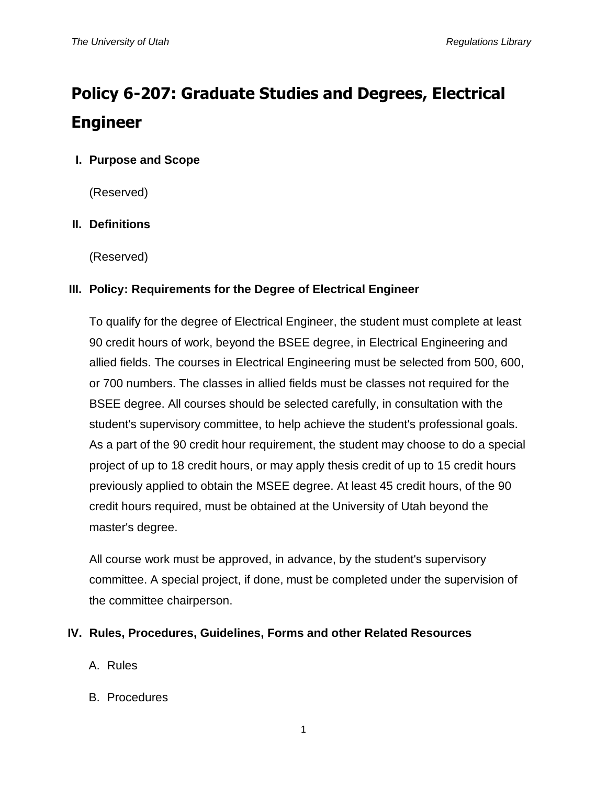# **Policy 6-207: Graduate Studies and Degrees, Electrical Engineer**

# **I. Purpose and Scope**

(Reserved)

## **II. Definitions**

(Reserved)

## **III. Policy: Requirements for the Degree of Electrical Engineer**

To qualify for the degree of Electrical Engineer, the student must complete at least 90 credit hours of work, beyond the BSEE degree, in Electrical Engineering and allied fields. The courses in Electrical Engineering must be selected from 500, 600, or 700 numbers. The classes in allied fields must be classes not required for the BSEE degree. All courses should be selected carefully, in consultation with the student's supervisory committee, to help achieve the student's professional goals. As a part of the 90 credit hour requirement, the student may choose to do a special project of up to 18 credit hours, or may apply thesis credit of up to 15 credit hours previously applied to obtain the MSEE degree. At least 45 credit hours, of the 90 credit hours required, must be obtained at the University of Utah beyond the master's degree.

All course work must be approved, in advance, by the student's supervisory committee. A special project, if done, must be completed under the supervision of the committee chairperson.

#### **IV. Rules, Procedures, Guidelines, Forms and other Related Resources**

- A. Rules
- B. Procedures